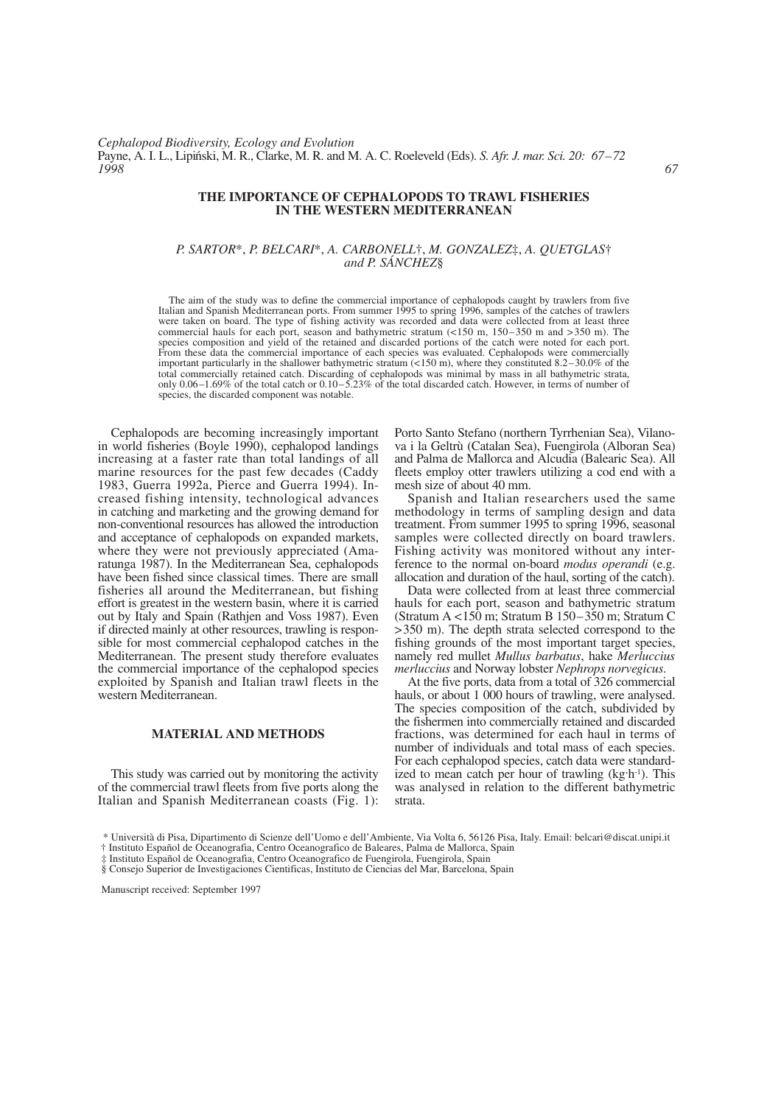## **THE IMPORTANCE OF CEPHALOPODS TO TRAWL FISHERIES IN THE WESTERN MEDITERRANEAN**

# *P. SARTOR*\*, *P. BELCARI*\*, *A. CARBONELL*†, *M. GONZALEZ*‡, *A. QUETGLAS*† *and P. SÁNCHEZ*§

The aim of the study was to define the commercial importance of cephalopods caught by trawlers from five Italian and Spanish Mediterranean ports. From summer 1995 to spring 1996, samples of the catches of trawlers were taken on board. The type of fishing activity was recorded and data were collected from at least three commercial hauls for each port, season and bathymetric stratum (<150 m, 150–350 m and >350 m). The species composition and yield of the retained and discarded portions of the catch were noted for each port. From these data the commercial importance of each species was evaluated. Cephalopods were commercially important particularly in the shallower bathymetric stratum (<150 m), where they constituted 8.2–30.0% of the total commercially retained catch. Discarding of cephalopods was minimal by mass in all bathymetric strata, only 0.06–1.69% of the total catch or 0.10–5.23% of the total discarded catch. However, in terms of number of species, the discarded component was notable.

Cephalopods are becoming increasingly important in world fisheries (Boyle 1990), cephalopod landings increasing at a faster rate than total landings of all marine resources for the past few decades (Caddy 1983, Guerra 1992a, Pierce and Guerra 1994). Increased fishing intensity, technological advances in catching and marketing and the growing demand for non-conventional resources has allowed the introduction and acceptance of cephalopods on expanded markets, where they were not previously appreciated (Amaratunga 1987). In the Mediterranean Sea, cephalopods have been fished since classical times. There are small fisheries all around the Mediterranean, but fishing effort is greatest in the western basin, where it is carried out by Italy and Spain (Rathjen and Voss 1987). Even if directed mainly at other resources, trawling is responsible for most commercial cephalopod catches in the Mediterranean. The present study therefore evaluates the commercial importance of the cephalopod species exploited by Spanish and Italian trawl fleets in the western Mediterranean.

#### **MATERIAL AND METHODS**

This study was carried out by monitoring the activity of the commercial trawl fleets from five ports along the Italian and Spanish Mediterranean coasts (Fig. 1): Porto Santo Stefano (northern Tyrrhenian Sea), Vilanova i la Geltrù (Catalan Sea), Fuengirola (Alboran Sea) and Palma de Mallorca and Alcudia (Balearic Sea). All fleets employ otter trawlers utilizing a cod end with a mesh size of about 40 mm.

Spanish and Italian researchers used the same methodology in terms of sampling design and data treatment. From summer 1995 to spring 1996, seasonal samples were collected directly on board trawlers. Fishing activity was monitored without any interference to the normal on-board *modus operandi* (e.g. allocation and duration of the haul, sorting of the catch).

Data were collected from at least three commercial hauls for each port, season and bathymetric stratum (Stratum A <150 m; Stratum B 150–350 m; Stratum C >350 m). The depth strata selected correspond to the fishing grounds of the most important target species, namely red mullet *Mullus barbatus*, hake *Merluccius merluccius* and Norway lobster *Nephrops norvegicus*. At the five ports, data from a total of 326 commercial

hauls, or about 1 000 hours of trawling, were analysed. The species composition of the catch, subdivided by the fishermen into commercially retained and discarded fractions, was determined for each haul in terms of number of individuals and total mass of each species. For each cephalopod species, catch data were standardized to mean catch per hour of trawling (kg·h<sup>-1</sup>). This was analysed in relation to the different bathymetric strata.

Manuscript received: September 1997

<sup>\*</sup> Università di Pisa, Dipartimento di Scienze dell'Uomo e dell'Ambiente, Via Volta 6, 56126 Pisa, Italy. Email: belcari@discat.unipi.it † Instituto Español de Oceanografia, Centro Oceanografico de Baleares, Palma de Mallorca, Spain

<sup>‡</sup> Instituto Español de Oceanografia, Centro Oceanografico de Fuengirola, Fuengirola, Spain

<sup>§</sup> Consejo Superior de Investigaciones Cientificas, Instituto de Ciencias del Mar, Barcelona, Spain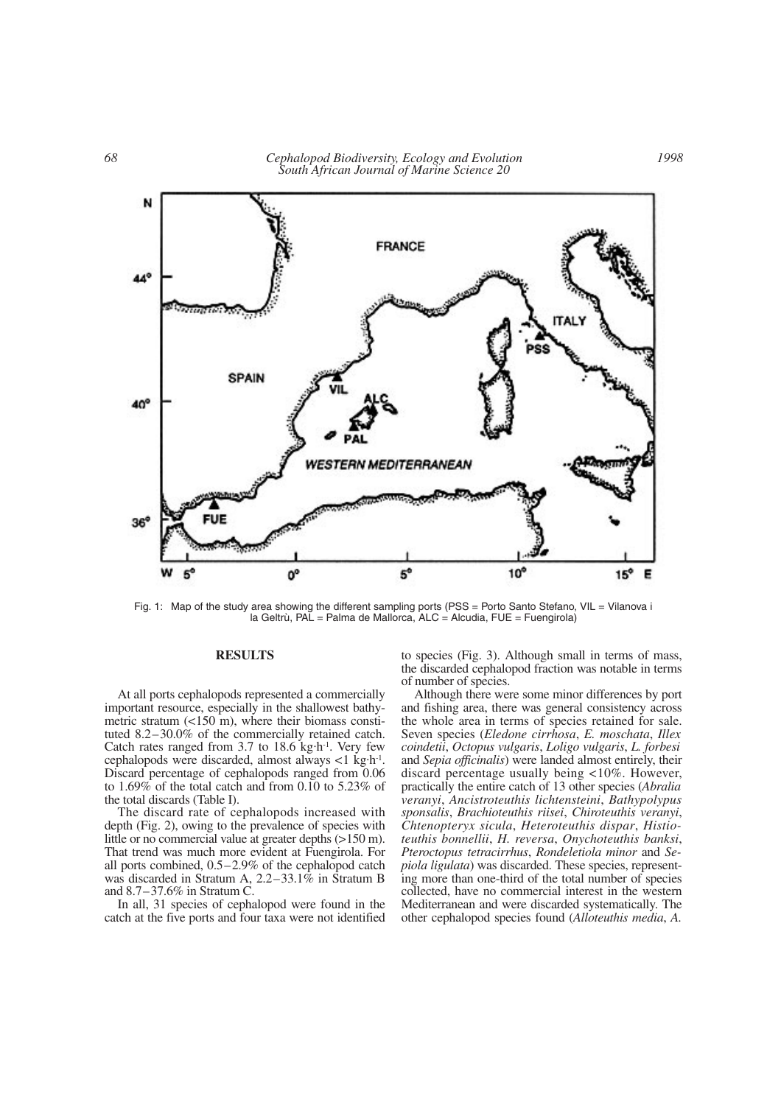

Fig. 1: Map of the study area showing the different sampling ports (PSS = Porto Santo Stefano, VIL = Vilanova i la Geltrù, PAL = Palma de Mallorca, ALC = Alcudia, FUE = Fuengirola)

### **RESULTS**

At all ports cephalopods represented a commercially important resource, especially in the shallowest bathymetric stratum  $(< 150$  m), where their biomass constituted 8.2–30.0% of the commercially retained catch. Catch rates ranged from 3.7 to 18.6 kg·h<sup>-1</sup>. Very few cephalopods were discarded, almost always  $\lt 1$  kg·h<sup>-1</sup>. Discard percentage of cephalopods ranged from 0.06 to 1.69% of the total catch and from 0.10 to 5.23% of the total discards (Table I).

The discard rate of cephalopods increased with depth (Fig. 2), owing to the prevalence of species with little or no commercial value at greater depths (>150 m). That trend was much more evident at Fuengirola. For all ports combined, 0.5–2.9% of the cephalopod catch was discarded in Stratum A, 2.2–33.1% in Stratum B and 8.7–37.6% in Stratum C.

In all, 31 species of cephalopod were found in the catch at the five ports and four taxa were not identified to species (Fig. 3). Although small in terms of mass, the discarded cephalopod fraction was notable in terms of number of species.

Although there were some minor differences by port and fishing area, there was general consistency across the whole area in terms of species retained for sale. Seven species (*Eledone cirrhosa*, *E. moschata*, *Illex coindetii*, *Octopus vulgaris*, *Loligo vulgaris*, *L. forbesi* and *Sepia officinalis*) were landed almost entirely, their discard percentage usually being <10%. However, practically the entire catch of 13 other species (*Abralia veranyi*, *Ancistroteuthis lichtensteini*, *Bathypolypus sponsalis*, *Brachioteuthis riisei*, *Chiroteuthis veranyi*, *Chtenopteryx sicula*, *Heteroteuthis dispar*, *Histioteuthis bonnellii*, *H. reversa*, *Onychoteuthis banksi*, *Pteroctopus tetracirrhus*, *Rondeletiola minor* and *Sepiola ligulata*) was discarded. These species, representing more than one-third of the total number of species collected, have no commercial interest in the western Mediterranean and were discarded systematically. The other cephalopod species found (*Alloteuthis media*, *A.*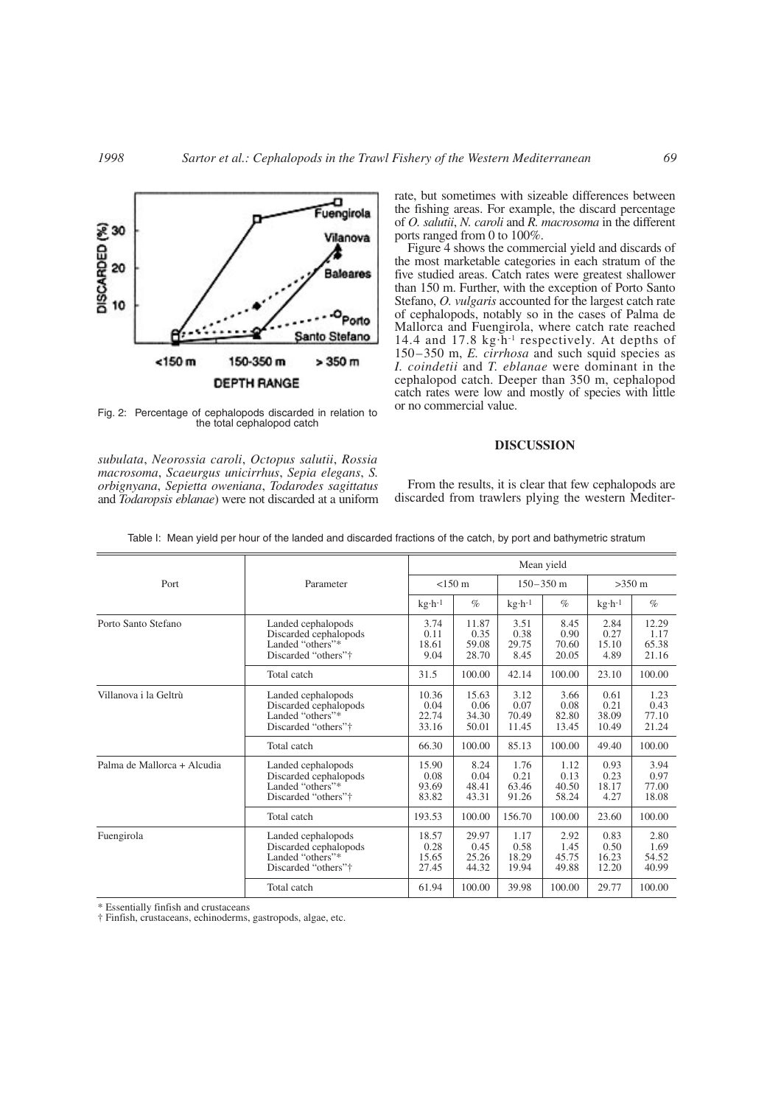

Fig. 2: Percentage of cephalopods discarded in relation to the total cephalopod catch

*subulata*, *Neorossia caroli*, *Octopus salutii*, *Rossia macrosoma*, *Scaeurgus unicirrhus*, *Sepia elegans*, *S. orbignyana*, *Sepietta oweniana*, *Todarodes sagittatus* and *Todaropsis eblanae*) were not discarded at a uniform rate, but sometimes with sizeable differences between the fishing areas. For example, the discard percentage of *O. salutii*, *N. caroli* and *R. macrosoma* in the different ports ranged from 0 to 100%.

Figure 4 shows the commercial yield and discards of the most marketable categories in each stratum of the five studied areas. Catch rates were greatest shallower than 150 m. Further, with the exception of Porto Santo Stefano, *O. vulgaris* accounted for the largest catch rate of cephalopods, notably so in the cases of Palma de Mallorca and Fuengirola, where catch rate reached 14.4 and 17.8 kg $\cdot \bar{h}$ <sup>1</sup> respectively. At depths of 150–350 m, *E. cirrhosa* and such squid species as *I. coindetii* and *T. eblanae* were dominant in the cephalopod catch. Deeper than 350 m, cephalopod catch rates were low and mostly of species with little or no commercial value.

## **DISCUSSION**

From the results, it is clear that few cephalopods are discarded from trawlers plying the western Mediter-

|  |  |  |  | Table I: Mean yield per hour of the landed and discarded fractions of the catch, by port and bathymetric stratum |
|--|--|--|--|------------------------------------------------------------------------------------------------------------------|
|--|--|--|--|------------------------------------------------------------------------------------------------------------------|

|                             |                                                                                        | Mean yield                      |                                 |                                |                                |                                |                                 |
|-----------------------------|----------------------------------------------------------------------------------------|---------------------------------|---------------------------------|--------------------------------|--------------------------------|--------------------------------|---------------------------------|
| Port                        | Parameter                                                                              | $< 150 \text{ m}$               |                                 | $150 - 350$ m                  |                                | $>350 \text{ m}$               |                                 |
|                             |                                                                                        | $kg \cdot h^{-1}$               | $\%$                            | $kg \cdot h^{-1}$              | $\%$                           | $kg \cdot h^{-1}$              | $\%$                            |
| Porto Santo Stefano         | Landed cephalopods<br>Discarded cephalopods<br>Landed "others"*<br>Discarded "others"† | 3.74<br>0.11<br>18.61<br>9.04   | 11.87<br>0.35<br>59.08<br>28.70 | 3.51<br>0.38<br>29.75<br>8.45  | 8.45<br>0.90<br>70.60<br>20.05 | 2.84<br>0.27<br>15.10<br>4.89  | 12.29<br>1.17<br>65.38<br>21.16 |
|                             | Total catch                                                                            | 31.5                            | 100.00                          | 42.14                          | 100.00                         | 23.10                          | 100.00                          |
| Villanova i la Geltrù       | Landed cephalopods<br>Discarded cephalopods<br>Landed "others"*<br>Discarded "others"† | 10.36<br>0.04<br>22.74<br>33.16 | 15.63<br>0.06<br>34.30<br>50.01 | 3.12<br>0.07<br>70.49<br>11.45 | 3.66<br>0.08<br>82.80<br>13.45 | 0.61<br>0.21<br>38.09<br>10.49 | 1.23<br>0.43<br>77.10<br>21.24  |
|                             | Total catch                                                                            | 66.30                           | 100.00                          | 85.13                          | 100.00                         | 49.40                          | 100.00                          |
| Palma de Mallorca + Alcudia | Landed cephalopods<br>Discarded cephalopods<br>Landed "others"*<br>Discarded "others"† | 15.90<br>0.08<br>93.69<br>83.82 | 8.24<br>0.04<br>48.41<br>43.31  | 1.76<br>0.21<br>63.46<br>91.26 | 1.12<br>0.13<br>40.50<br>58.24 | 0.93<br>0.23<br>18.17<br>4.27  | 3.94<br>0.97<br>77.00<br>18.08  |
|                             | Total catch                                                                            | 193.53                          | 100.00                          | 156.70                         | 100.00                         | 23.60                          | 100.00                          |
| Fuengirola                  | Landed cephalopods<br>Discarded cephalopods<br>Landed "others"*<br>Discarded "others"† | 18.57<br>0.28<br>15.65<br>27.45 | 29.97<br>0.45<br>25.26<br>44.32 | 1.17<br>0.58<br>18.29<br>19.94 | 2.92<br>1.45<br>45.75<br>49.88 | 0.83<br>0.50<br>16.23<br>12.20 | 2.80<br>1.69<br>54.52<br>40.99  |
|                             | Total catch                                                                            | 61.94                           | 100.00                          | 39.98                          | 100.00                         | 29.77                          | 100.00                          |

\* Essentially finfish and crustaceans

† Finfish, crustaceans, echinoderms, gastropods, algae, etc.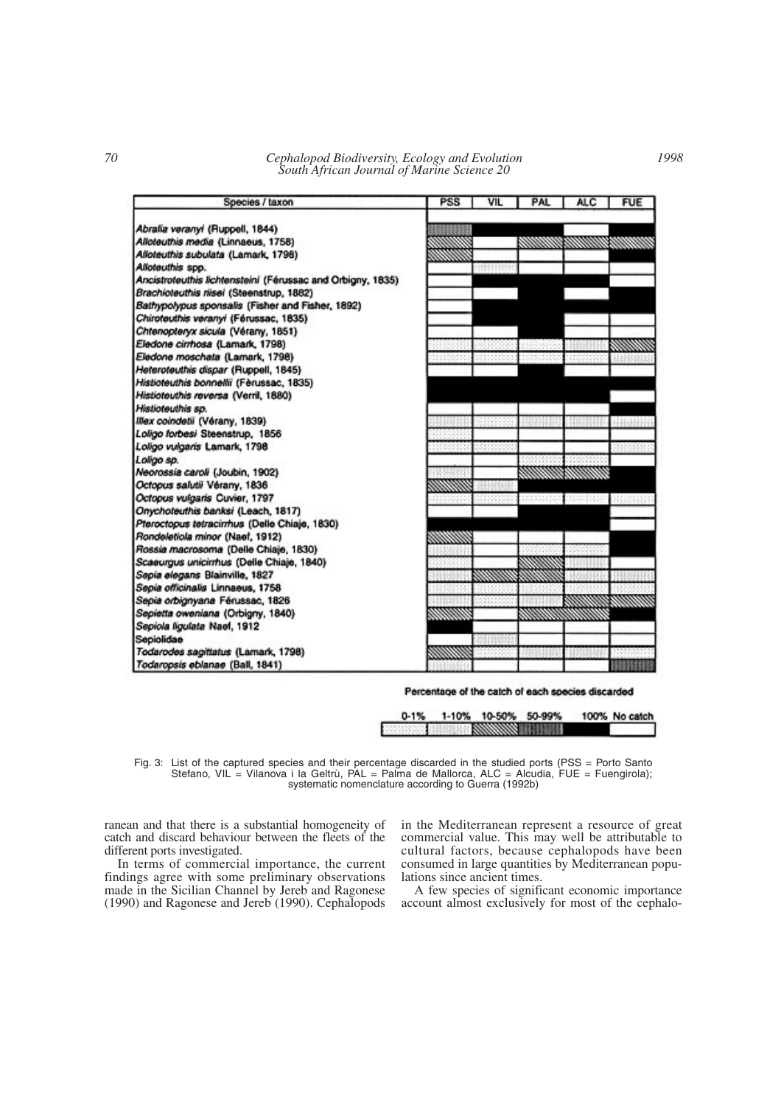*70 Cephalopod Biodiversity, Ecology and Evolution South African Journal of Marine Science 20*

| Species / taxon                                            | <b>PSS</b> | VIL      | PAL | ALC                   | <b>FUE</b>     |
|------------------------------------------------------------|------------|----------|-----|-----------------------|----------------|
| Abralia veranyi (Ruppell, 1844)                            |            |          |     |                       |                |
| Alloteuthis media (Linnaeus, 1758)                         |            |          |     | RAMANA SANAH BALANGAN |                |
| Alloteuthis subulata (Lamark, 1798)                        |            |          |     |                       |                |
| Allotauthis spp.                                           |            | 12231001 |     |                       |                |
| Ancistroteuthis lichtensteini (Férussac and Orbigny, 1835) |            |          |     |                       |                |
| Brachioteuthis riisei (Steenstrup, 1882)                   |            |          |     |                       |                |
| Bathypolypus sponsalis (Fisher and Fisher, 1892)           |            |          |     |                       |                |
| Chiroteuthis veranyi (Férussac, 1835)                      |            |          |     |                       |                |
| Chtenopteryx sicula (Vérany, 1851)                         |            |          |     |                       |                |
| Eledone cirrhosa (Lamark, 1798)                            |            |          |     |                       |                |
| Eledone moschata (Lamark, 1798)                            |            |          |     |                       |                |
| Heteroteuthis dispar (Ruppell, 1845)                       |            |          |     |                       |                |
| Histioteuthis bonnellii (Fèrussac, 1835)                   |            |          |     |                       |                |
| Histioteuthis reversa (Verril, 1880)                       |            |          |     |                       |                |
| Histioteuthis sp.                                          |            |          |     |                       |                |
| Illex coindetii (Vérany, 1839)                             |            |          |     |                       | <b>HAMADIA</b> |
| Loligo forbesi Steenstrup, 1856                            |            |          |     |                       |                |
| Loligo vulgaris Lamark, 1798                               |            |          |     |                       |                |
| Loligo sp.                                                 |            |          |     |                       |                |
| Neorossia caroli (Joubin, 1902)                            |            |          |     |                       |                |
| Octopus salutii Vérany, 1836                               |            |          |     |                       |                |
| Octopus vulgaris Cuvier, 1797                              |            |          |     |                       |                |
| Onycholeuthis banksi (Leach, 1817)                         |            |          |     |                       |                |
| Pteroctopus tetracimhus (Delle Chiaje, 1830)               |            |          |     |                       |                |
| Rondeletiola minor (Naef, 1912)                            | mma        |          |     |                       |                |
| Rossia macrosoma (Delle Chiaje, 1830)                      |            |          |     |                       |                |
| Scaeurgus unicimhus (Delle Chiaje, 1840)                   |            |          |     |                       |                |
| Sepia elegans Blainville, 1827                             |            | mmmms    |     |                       |                |
| Sepia officinalis Linnaeus, 1758                           |            |          |     |                       |                |
| Sepia orbignyana Férussac, 1826                            |            |          |     |                       |                |
| Sepietta oweniana (Orbigny, 1840)                          | mmm        |          |     |                       |                |
| Sepiola liquiata Nael, 1912                                |            |          |     |                       |                |
| Sepiolidae                                                 |            |          |     |                       |                |
| Todarodes sagittatus (Lamark, 1798)                        |            |          |     |                       |                |
| Todaropsis eblanae (Ball, 1841)                            |            |          |     |                       |                |

#### Percentage of the catch of each species discarded

| $0 - 1%$ | 1-10% 10-50% 50-99%      |  | 100% No catch |
|----------|--------------------------|--|---------------|
|          | <b>MANARY TELEVISION</b> |  |               |

Fig. 3: List of the captured species and their percentage discarded in the studied ports (PSS = Porto Santo Stefano, VIL = Vilanova i la Geltrù, PAL = Palma de Mallorca, ALC = Alcudia, FUE = Fuengirola); systematic nomenclature according to Guerra (1992b)

ranean and that there is a substantial homogeneity of catch and discard behaviour between the fleets of the different ports investigated.

In terms of commercial importance, the current findings agree with some preliminary observations made in the Sicilian Channel by Jereb and Ragonese (1990) and Ragonese and Jereb (1990). Cephalopods in the Mediterranean represent a resource of great commercial value. This may well be attributable to cultural factors, because cephalopods have been consumed in large quantities by Mediterranean populations since ancient times.

A few species of significant economic importance account almost exclusively for most of the cephalo-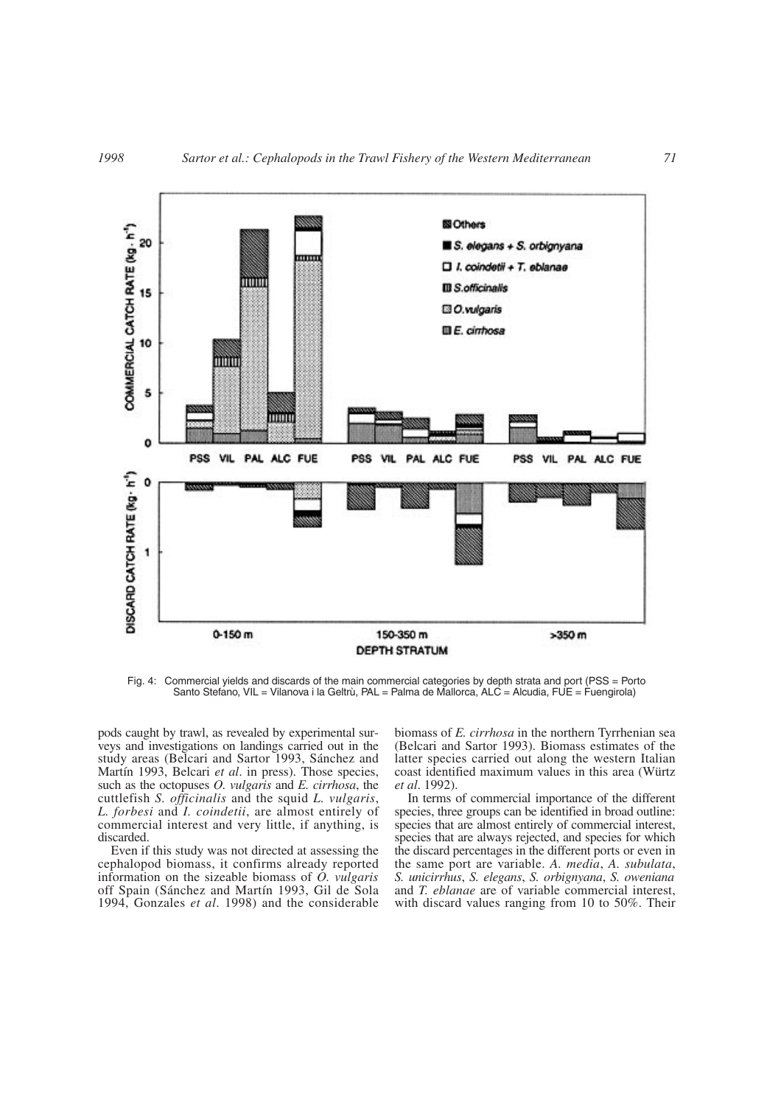

Fig. 4: Commercial yields and discards of the main commercial categories by depth strata and port (PSS = Porto Santo Stefano, VIL = Vilanova i la Geltrù, PAL = Palma de Mallorca, ALC = Alcudia, FUE = Fuengirola)

pods caught by trawl, as revealed by experimental surveys and investigations on landings carried out in the study areas (Belcari and Sartor 1993, Sánchez and Martín 1993, Belcari *et al*. in press). Those species, such as the octopuses *O. vulgaris* and *E. cirrhosa*, the cuttlefish *S. officinalis* and the squid *L. vulgaris*, *L. forbesi* and *I. coindetii*, are almost entirely of commercial interest and very little, if anything, is discarded.

Even if this study was not directed at assessing the cephalopod biomass, it confirms already reported information on the sizeable biomass of *O. vulgaris* off Spain (Sánchez and Martín 1993, Gil de Sola 1994, Gonzales *et al*. 1998) and the considerable biomass of *E. cirrhosa* in the northern Tyrrhenian sea (Belcari and Sartor 1993). Biomass estimates of the latter species carried out along the western Italian coast identified maximum values in this area (Würtz *et al*. 1992).

In terms of commercial importance of the different species, three groups can be identified in broad outline: species that are almost entirely of commercial interest, species that are always rejected, and species for which the discard percentages in the different ports or even in the same port are variable. *A. media*, *A. subulata*, *S. unicirrhus*, *S. elegans*, *S. orbignyana*, *S. oweniana* and *T. eblanae* are of variable commercial interest, with discard values ranging from 10 to 50%. Their